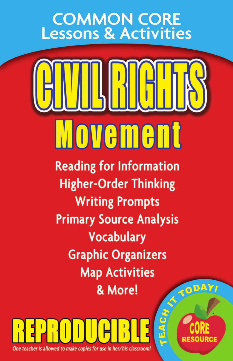## **COMMON CORE** Lessons & Activities



**Reading for Information Higher-Order Thinking Writing Prompts Primary Source Analysis** Vocabulary **Graphic Organizers Map Activities** & More!



TODAY